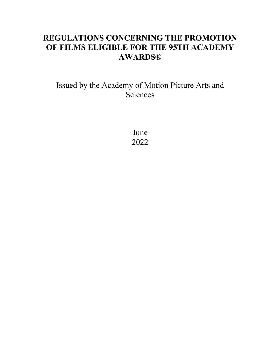# **REGULATIONS CONCERNING THE PROMOTION OF FILMS ELIGIBLE FOR THE 95TH ACADEMY AWARDS**®

# Issued by the Academy of Motion Picture Arts and **Sciences**

June 2022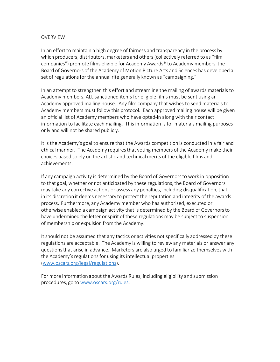#### OVERVIEW

In an effort to maintain a high degree of fairness and transparency in the process by which producers, distributors, marketers and others (collectively referred to as "film companies") promote films eligible for Academy Awards® to Academy members, the Board of Governors of the Academy of Motion Picture Arts and Sciences has developed a set of regulations for the annual rite generally known as "campaigning."

In an attempt to strengthen this effort and streamline the mailing of awards materials to Academy members, ALL sanctioned items for eligible films must be sent using an Academy approved mailing house. Any film company that wishes to send materials to Academy members must follow this protocol. Each approved mailing house will be given an official list of Academy members who have opted-in along with their contact information to facilitate each mailing. This information is for materials mailing purposes only and will not be shared publicly.

It is the Academy's goal to ensure that the Awards competition is conducted in a fair and ethical manner. The Academy requires that voting members of the Academy make their choices based solely on the artistic and technical merits of the eligible films and achievements.

If any campaign activity is determined by the Board of Governors to work in opposition to that goal, whether or not anticipated by these regulations, the Board of Governors may take any corrective actions or assess any penalties, including disqualification, that in its discretion it deems necessary to protect the reputation and integrity of the awards process. Furthermore, any Academy member who has authorized, executed or otherwise enabled a campaign activity that is determined by the Board of Governors to have undermined the letter or spirit of these regulations may be subject to suspension of membership or expulsion from the Academy.

It should not be assumed that any tactics or activities not specifically addressed by these regulations are acceptable. The Academy is willing to review any materials or answer any questions that arise in advance. Marketers are also urged to familiarize themselves with the Academy's regulations for using its intellectual properties (www.oscars.org/legal/regulations).

For more information about the Awards Rules, including eligibility and submission procedures, go to www.oscars.org/rules.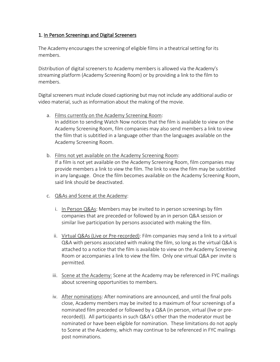## 1. In Person Screenings and Digital Screeners

The Academy encouragesthe screening of eligible films in a theatrical setting for its members.

Distribution of digital screeners to Academy members is allowed via the Academy's streaming platform (Academy Screening Room) or by providing a link to the film to members.

Digital screeners must include closed captioning but may not include any additional audio or video material, such as information about the making of the movie.

- a. Films currently on the Academy Screening Room: In addition to sending Watch Now notices that the film is available to view on the Academy Screening Room, film companies may also send members a link to view the film that is subtitled in a language other than the languages available on the Academy Screening Room.
- b. Films not yet available on the Academy Screening Room: If a film is not yet available on the Academy Screening Room, film companies may provide members a link to view the film. The link to view the film may be subtitled in any language. Once the film becomes available on the Academy Screening Room, said link should be deactivated.
- c. Q&As and Scene at the Academy:
	- i. In Person Q&As: Members may be invited to in person screenings by film companies that are preceded or followed by an in person Q&A session or similar live participation by persons associated with making the film.
	- ii. Virtual Q&As (Live or Pre-recorded): Film companies may send a link to a virtual Q&A with persons associated with making the film, so long as the virtual Q&A is attached to a notice that the film is available to view on the Academy Screening Room or accompanies a link to view the film. Only one virtual Q&A per invite is permitted.
	- iii. Scene at the Academy: Scene at the Academy may be referenced in FYC mailings about screening opportunities to members.
	- iv. After nominations: After nominations are announced, and until the final polls close, Academy members may be invited to a maximum of four screenings of a nominated film preceded or followed by a Q&A (in person, virtual (live or prerecorded)). All participants in such Q&A's other than the moderator must be nominated or have been eligible for nomination. These limitations do not apply to Scene at the Academy, which may continue to be referenced in FYC mailings post nominations.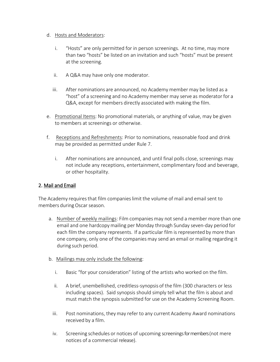#### d. Hosts and Moderators:

- i. "Hosts" are only permitted for in person screenings. At no time, may more than two "hosts" be listed on an invitation and such "hosts" must be present at the screening.
- ii. A Q&A may have only one moderator.
- iii. After nominations are announced, no Academy member may be listed as a "host" of a screening and no Academy member may serve as moderator for a Q&A, except for members directly associated with making the film.
- e. Promotional Items: No promotional materials, or anything of value, may be given to members at screenings or otherwise.
- f. Receptions and Refreshments: Prior to nominations, reasonable food and drink may be provided as permitted under Rule 7.
	- i. After nominations are announced, and until final polls close, screenings may not include any receptions, entertainment, complimentary food and beverage, or other hospitality.

### 2. Mail and Email

The Academy requires that film companies limit the volume of mail and email sent to members during Oscar season.

- a. Number of weekly mailings: Film companies may not send a member more than one email and one hardcopy mailing per Monday through Sunday seven-day period for each film the company represents. If a particular film is represented by more than one company, only one of the companies may send an email or mailing regarding it during such period.
- b. Mailings may only include the following:
	- i. Basic "for your consideration" listing of the artists who worked on the film.
	- ii. A brief, unembellished, creditless-synopsis of the film (300 characters or less including spaces). Said synopsis should simply tell what the film is about and must match the synopsis submitted for use on the Academy Screening Room.
	- iii. Post nominations, they may refer to any current Academy Award nominations received by a film.
	- iv. Screening schedules or notices of upcoming screeningsfor members (not mere notices of a commercial release).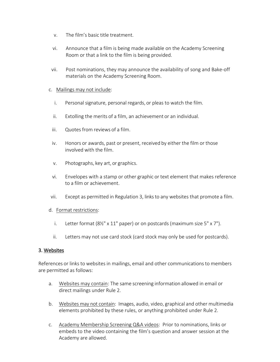- v. The film's basic title treatment.
- vi. Announce that a film is being made available on the Academy Screening Room or that a link to the film is being provided.
- vii. Post nominations, they may announce the availability of song and Bake-off materials on the Academy Screening Room.

#### c. Mailings may not include:

- i. Personal signature, personal regards, or pleas to watch the film.
- ii. Extolling the merits of a film, an achievement or an individual.
- iii. Quotes from reviews of a film.
- iv. Honors or awards, past or present, received by either the film or those involved with the film.
- v. Photographs, key art, or graphics.
- vi. Envelopes with a stamp or other graphic or text element that makes reference to a film or achievement.
- vii. Except as permitted in Regulation 3, links to any websites that promote a film.

#### d. Format restrictions:

- i. Letter format (8½" x 11" paper) or on postcards (maximum size 5" x 7").
- ii. Letters may not use card stock (card stock may only be used for postcards).

#### 3. Websites

References or links to websites in mailings, email and other communications to members are permitted as follows:

- a. Websites may contain: The same screening information allowed in email or direct mailings under Rule 2.
- b. Websites may not contain: Images, audio, video, graphical and other multimedia elements prohibited by these rules, or anything prohibited under Rule 2.
- c. Academy Membership Screening Q&A videos: Prior to nominations, links or embeds to the video containing the film's question and answer session at the Academy are allowed.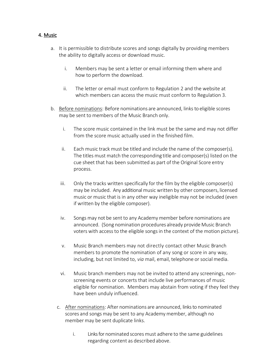### 4. Music

- a. It is permissible to distribute scores and songs digitally by providing members the ability to digitally access or download music.
	- i. Members may be sent a letter or email informing them where and how to perform the download.
	- ii. The letter or email must conform to Regulation 2 and the website at which members can access the music must conform to Regulation 3.
- b. Before nominations: Before nominations are announced, links to eligible scores may be sent to members of the Music Branch only.
	- i. The score music contained in the link must be the same and may not differ from the score music actually used in the finished film.
	- ii. Each music track must be titled and include the name of the composer(s). The titles must match the corresponding title and composer(s) listed on the cue sheet that has been submitted as part of the Original Score entry process.
	- iii. Only the tracks written specifically for the film by the eligible composer(s) may be included. Any additional music written by other composers, licensed music or music that is in any other way ineligible may not be included (even if written by the eligible composer).
	- iv. Songs may not be sent to any Academy member before nominations are announced. (Song nomination procedures already provide Music Branch voters with access to the eligible songs in the context of the motion picture).
	- v. Music Branch members may not directly contact other Music Branch members to promote the nomination of any song or score in any way, including, but not limited to, *via* mail, email, telephone or social media.
	- vi. Music branch members may not be invited to attend any screenings, nonscreening events or concerts that include live performances of music eligible for nomination. Members may abstain from voting if they feel they have been unduly influenced.
	- c. After nominations: After nominations are announced, links to nominated scores and songs may be sent to any Academy member, although no member may be sent duplicate links.
		- i. Links for nominated scores must adhere to the same guidelines regarding content as described above.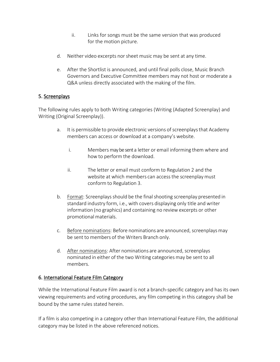- ii. Links for songs must be the same version that was produced for the motion picture.
- d. Neither video excerpts nor sheet music may be sent at any time.
- e. After the Shortlist is announced, and until final polls close, Music Branch Governors and Executive Committee members may not host or moderate a Q&A unless directly associated with the making of the film.

## 5. Screenplays

The following rules apply to both Writing categories (Writing (Adapted Screenplay) and Writing (Original Screenplay)).

- a. It is permissible to provide electronic versions of screenplays that Academy members can access or download at a company's website.
	- i. Members may be sent a letter or email informing them where and how to perform the download.
	- ii. The letter or email must conform to Regulation 2 and the website at which members can access the screenplay must conform to Regulation 3.
- b. Format: Screenplays should be the final shooting screenplay presented in standard industry form, i.e., with covers displaying only title and writer information (no graphics) and containing no review excerpts or other promotional materials.
- c. Before nominations: Before nominations are announced, screenplays may be sent to members of the Writers Branch only.
- d. After nominations: After nominations are announced, screenplays nominated in either of the two Writing categories may be sent to all members.

### 6. International Feature Film Category

While the International Feature Film award is not a branch-specific category and has its own viewing requirements and voting procedures, any film competing in this category shall be bound by the same rules stated herein.

If a film is also competing in a category other than International Feature Film, the additional category may be listed in the above referenced notices.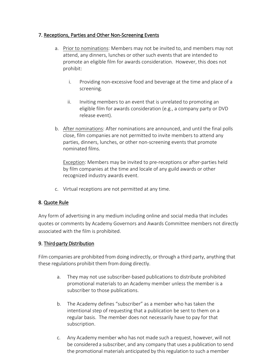## 7. Receptions, Parties and Other Non-Screening Events

- a. Prior to nominations: Members may not be invited to, and members may not attend, any dinners, lunches or other such events that are intended to promote an eligible film for awards consideration. However, this does not prohibit:
	- i. Providing non-excessive food and beverage at the time and place of a screening.
	- ii. Inviting members to an event that is unrelated to promoting an eligible film for awards consideration (e.g., a company party or DVD release event).
- b. After nominations: After nominations are announced, and until the final polls close, film companies are not permitted to invite members to attend any parties, dinners, lunches, or other non-screening events that promote nominated films.

Exception: Members may be invited to pre-receptions or after-parties held by film companies at the time and locale of any guild awards or other recognized industry awards event.

c. Virtual receptions are not permitted at any time.

# 8. Quote Rule

Any form of advertising in any medium including online and social media that includes quotes or comments by Academy Governors and Awards Committee members not directly associated with the film is prohibited.

# 9. Third-party Distribution

Film companies are prohibited from doing indirectly, or through a third party, anything that these regulations prohibit them from doing directly.

- a. They may not use subscriber-based publications to distribute prohibited promotional materials to an Academy member unless the member is a subscriber to those publications.
- b. The Academy defines "subscriber" as a member who has taken the intentional step of requesting that a publication be sent to them on a regular basis. The member does not necessarily have to pay for that subscription.
- c. Any Academy member who has not made such a request, however, will not be considered a subscriber, and any company that uses a publication to send the promotional materials anticipated by this regulation to such a member